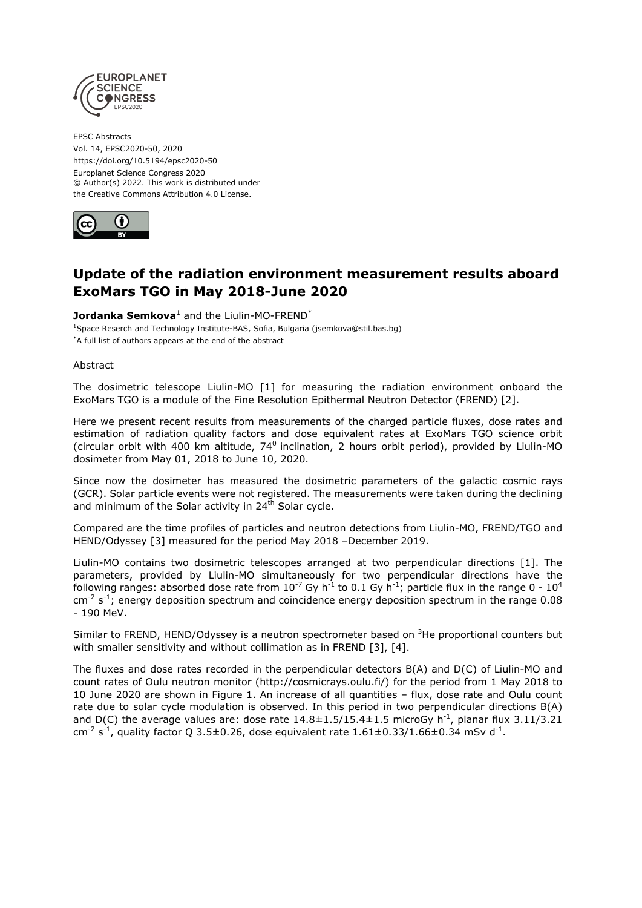

EPSC Abstracts Vol. 14, EPSC2020-50, 2020 https://doi.org/10.5194/epsc2020-50 Europlanet Science Congress 2020 © Author(s) 2022. This work is distributed under the Creative Commons Attribution 4.0 License.



## **Update of the radiation environment measurement results aboard ExoMars TGO in May 2018-June 2020**

## **Jordanka Semkova**<sup>1</sup> and the Liulin-MO-FREND<sup>\*</sup>

<sup>1</sup>Space Reserch and Technology Institute-BAS, Sofia, Bulgaria (jsemkova@stil.bas.bg) \*A full list of authors appears at the end of the abstract

Abstract

The dosimetric telescope Liulin-MO [1] for measuring the radiation environment onboard the ExoMars TGO is a module of the Fine Resolution Epithermal Neutron Detector (FREND) [2].

Here we present recent results from measurements of the charged particle fluxes, dose rates and estimation of radiation quality factors and dose equivalent rates at ExoMars TGO science orbit (circular orbit with 400 km altitude, 74 $^0$  inclination, 2 hours orbit period), provided by Liulin-MO dosimeter from May 01, 2018 to June 10, 2020.

Since now the dosimeter has measured the dosimetric parameters of the galactic cosmic rays (GCR). Solar particle events were not registered. The measurements were taken during the declining and minimum of the Solar activity in 24<sup>th</sup> Solar cycle.

Compared are the time profiles of particles and neutron detections from Liulin-MO, FREND/TGO and HEND/Odyssey [3] measured for the period May 2018 –December 2019.

Liulin-MO contains two dosimetric telescopes arranged at two perpendicular directions [1]. The parameters, provided by Liulin-MO simultaneously for two perpendicular directions have the following ranges: absorbed dose rate from  $10^{-7}$  Gy h<sup>-1</sup> to 0.1 Gy h<sup>-1</sup>; particle flux in the range 0 -  $10^4$ cm<sup>-2</sup> s<sup>-1</sup>; energy deposition spectrum and coincidence energy deposition spectrum in the range 0.08 - 190 MeV.

Similar to FREND, HEND/Odyssey is a neutron spectrometer based on <sup>3</sup>He proportional counters but with smaller sensitivity and without collimation as in FREND [3], [4].

The fluxes and dose rates recorded in the perpendicular detectors B(A) and D(C) of Liulin-MO and count rates of Oulu neutron monitor (http://cosmicrays.oulu.fi/) for the period from 1 May 2018 to 10 June 2020 are shown in Figure 1. An increase of all quantities – flux, dose rate and Oulu count rate due to solar cycle modulation is observed. In this period in two perpendicular directions B(A) and D(C) the average values are: dose rate  $14.8\pm1.5/15.4\pm1.5$  microGy h<sup>-1</sup>, planar flux 3.11/3.21 cm<sup>-2</sup> s<sup>-1</sup>, quality factor Q 3.5±0.26, dose equivalent rate 1.61±0.33/1.66±0.34 mSv d<sup>-1</sup>.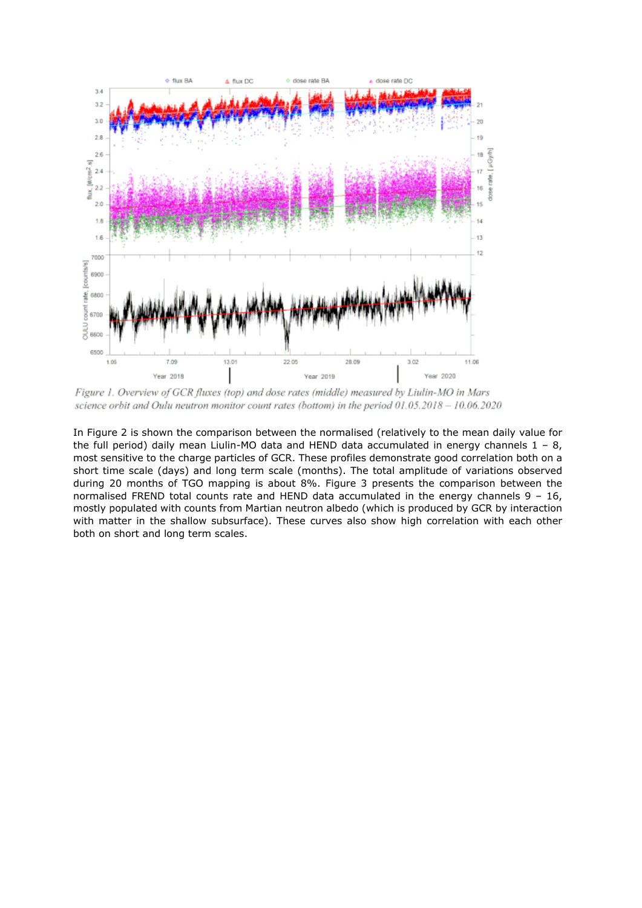

Figure 1. Overview of GCR fluxes (top) and dose rates (middle) measured by Liulin-MO in Mars science orbit and Oulu neutron monitor count rates (bottom) in the period 01.05.2018 - 10.06.2020

In Figure 2 is shown the comparison between the normalised (relatively to the mean daily value for the full period) daily mean Liulin-MO data and HEND data accumulated in energy channels  $1 - 8$ , most sensitive to the charge particles of GCR. These profiles demonstrate good correlation both on a short time scale (days) and long term scale (months). The total amplitude of variations observed during 20 months of TGO mapping is about 8%. Figure 3 presents the comparison between the normalised FREND total counts rate and HEND data accumulated in the energy channels 9 – 16, mostly populated with counts from Martian neutron albedo (which is produced by GCR by interaction with matter in the shallow subsurface). These curves also show high correlation with each other both on short and long term scales.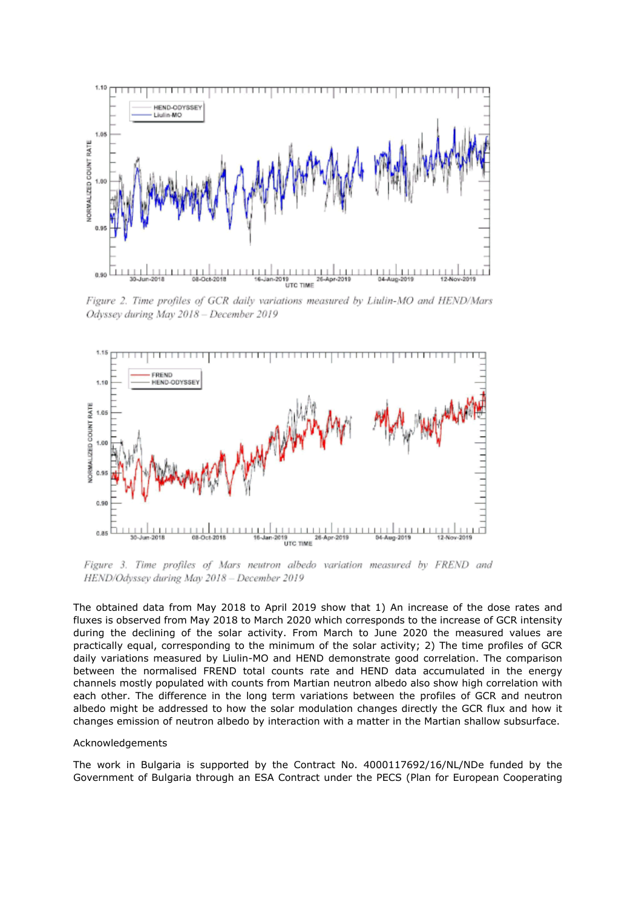

Figure 2. Time profiles of GCR daily variations measured by Liulin-MO and HEND/Mars Odyssey during May 2018 - December 2019



Figure 3. Time profiles of Mars neutron albedo variation measured by FREND and HEND/Odyssey during May 2018 - December 2019

The obtained data from May 2018 to April 2019 show that 1) An increase of the dose rates and fluxes is observed from May 2018 to March 2020 which corresponds to the increase of GCR intensity during the declining of the solar activity. From March to June 2020 the measured values are practically equal, corresponding to the minimum of the solar activity; 2) The time profiles of GCR daily variations measured by Liulin-MO and HEND demonstrate good correlation. The comparison between the normalised FREND total counts rate and HEND data accumulated in the energy channels mostly populated with counts from Martian neutron albedo also show high correlation with each other. The difference in the long term variations between the profiles of GCR and neutron albedo might be addressed to how the solar modulation changes directly the GCR flux and how it changes emission of neutron albedo by interaction with a matter in the Martian shallow subsurface.

## Acknowledgements

The work in Bulgaria is supported by the Contract No. 4000117692/16/NL/NDe funded by the Government of Bulgaria through an ESA Contract under the PECS (Plan for European Cooperating